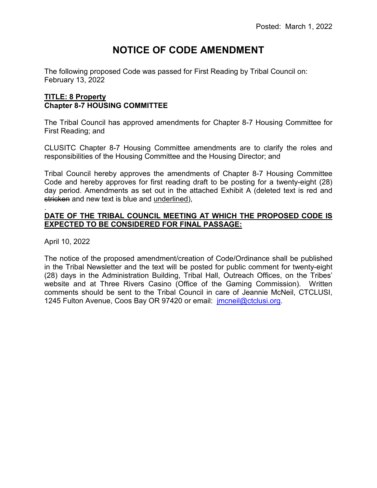# **NOTICE OF CODE AMENDMENT**

The following proposed Code was passed for First Reading by Tribal Council on: February 13, 2022

# **TITLE: 8 Property Chapter 8-7 HOUSING COMMITTEE**

The Tribal Council has approved amendments for Chapter 8-7 Housing Committee for First Reading; and

CLUSITC Chapter 8-7 Housing Committee amendments are to clarify the roles and responsibilities of the Housing Committee and the Housing Director; and

Tribal Council hereby approves the amendments of Chapter 8-7 Housing Committee Code and hereby approves for first reading draft to be posting for a twenty-eight (28) day period. Amendments as set out in the attached Exhibit A (deleted text is red and stricken and new text is blue and underlined),

#### . **DATE OF THE TRIBAL COUNCIL MEETING AT WHICH THE PROPOSED CODE IS EXPECTED TO BE CONSIDERED FOR FINAL PASSAGE:**

April 10, 2022

The notice of the proposed amendment/creation of Code/Ordinance shall be published in the Tribal Newsletter and the text will be posted for public comment for twenty-eight (28) days in the Administration Building, Tribal Hall, Outreach Offices, on the Tribes' website and at Three Rivers Casino (Office of the Gaming Commission). Written comments should be sent to the Tribal Council in care of Jeannie McNeil, CTCLUSI, 1245 Fulton Avenue, Coos Bay OR 97420 or email: [jmcneil@ctclusi.org.](mailto:jmcneil@ctclusi.org)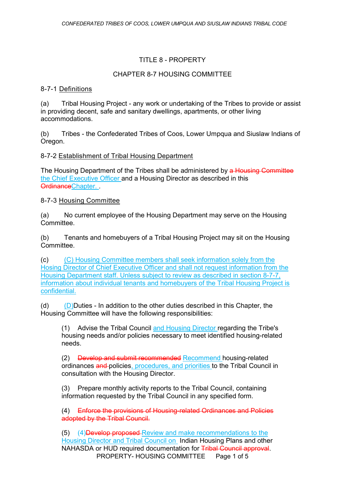# TITLE 8 - PROPERTY

# CHAPTER 8-7 HOUSING COMMITTEE

# 8-7-1 Definitions

(a) Tribal Housing Project - any work or undertaking of the Tribes to provide or assist in providing decent, safe and sanitary dwellings, apartments, or other living accommodations.

(b) Tribes - the Confederated Tribes of Coos, Lower Umpqua and Siuslaw Indians of Oregon.

# 8-7-2 Establishment of Tribal Housing Department

The Housing Department of the Tribes shall be administered by a Housing Committee the Chief Executive Officer and a Housing Director as described in this OrdinanceChapter.

# 8-7-3 Housing Committee

(a) No current employee of the Housing Department may serve on the Housing Committee.

(b) Tenants and homebuyers of a Tribal Housing Project may sit on the Housing Committee.

(c) (C) Housing Committee members shall seek information solely from the Hosing Director of Chief Executive Officer and shall not request information from the Housing Department staff. Unless subject to review as described in section 8-7-7. information about individual tenants and homebuyers of the Tribal Housing Project is confidential.

(d)  $(D)$ Duties - In addition to the other duties described in this Chapter, the Housing Committee will have the following responsibilities:

(1) Advise the Tribal Council and Housing Director regarding the Tribe's housing needs and/or policies necessary to meet identified housing-related needs.

(2) Develop and submit recommended Recommend housing-related ordinances and policies, procedures, and priorities to the Tribal Council in consultation with the Housing Director.

(3) Prepare monthly activity reports to the Tribal Council, containing information requested by the Tribal Council in any specified form.

(4) Enforce the provisions of Housing-related Ordinances and Policies adopted by the Tribal Council.

PROPERTY- HOUSING COMMITTEE Page 1 of 5 (5) (4)Develop proposed Review and make recommendations to the Housing Director and Tribal Council on Indian Housing Plans and other NAHASDA or HUD required documentation for Tribal Council approval.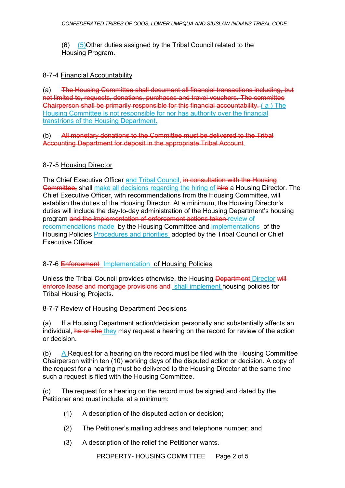(6) (5)Other duties assigned by the Tribal Council related to the Housing Program.

#### 8-7-4 Financial Accountability

(a) The Housing Committee shall document all financial transactions including, but not limited to, requests, donations, purchases and travel vouchers. The committee Chairperson shall be primarily responsible for this financial accountability. ( a ) The Housing Committee is not responsible for nor has authority over the financial transtrions of the Housing Department.

#### (b) All monetary donations to the Committee must be delivered to the Tribal Accounting Department for deposit in the appropriate Tribal Account.

# 8-7-5 Housing Director

The Chief Executive Officer and Tribal Council, in consultation with the Housing Committee, shall make all decisions regarding the hiring of hire a Housing Director. The Chief Executive Officer, with recommendations from the Housing Committee, will establish the duties of the Housing Director. At a minimum, the Housing Director's duties will include the day-to-day administration of the Housing Department's housing program and the implementation of enforcement actions taken review of recommendations made by the Housing Committee and implementations of the Housing Policies Procedures and priorities adopted by the Tribal Council or Chief Executive Officer.

# 8-7-6 Enforcement Implementation of Housing Policies

Unless the Tribal Council provides otherwise, the Housing Department Director will enforce lease and mortgage provisions and shall implement housing policies for Tribal Housing Projects.

# 8-7-7 Review of Housing Department Decisions

(a) If a Housing Department action/decision personally and substantially affects an individual, he or she they may request a hearing on the record for review of the action or decision.

(b) A Request for a hearing on the record must be filed with the Housing Committee Chairperson within ten (10) working days of the disputed action or decision. A copy of the request for a hearing must be delivered to the Housing Director at the same time such a request is filed with the Housing Committee.

(c) The request for a hearing on the record must be signed and dated by the Petitioner and must include, at a minimum:

- (1) A description of the disputed action or decision;
- (2) The Petitioner's mailing address and telephone number; and
- (3) A description of the relief the Petitioner wants.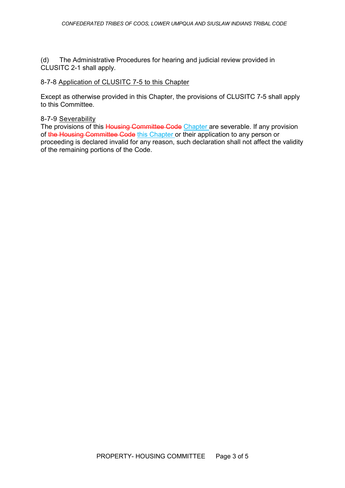(d) The Administrative Procedures for hearing and judicial review provided in CLUSITC 2-1 shall apply.

#### 8-7-8 Application of CLUSITC 7-5 to this Chapter

Except as otherwise provided in this Chapter, the provisions of CLUSITC 7-5 shall apply to this Committee.

#### 8-7-9 Severability

The provisions of this Housing Committee Code Chapter are severable. If any provision of the Housing Committee Code this Chapter or their application to any person or proceeding is declared invalid for any reason, such declaration shall not affect the validity of the remaining portions of the Code.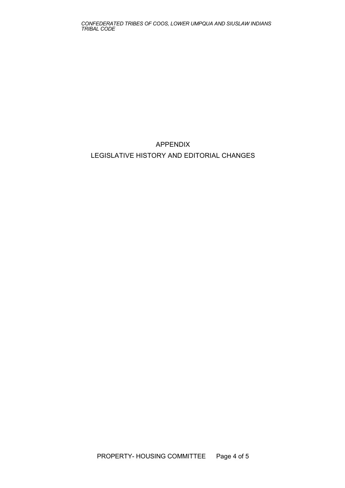*CONFEDERATED TRIBES OF COOS, LOWER UMPQUA AND SIUSLAW INDIANS TRIBAL CODE*

# APPENDIX LEGISLATIVE HISTORY AND EDITORIAL CHANGES

PROPERTY- HOUSING COMMITTEE Page 4 of 5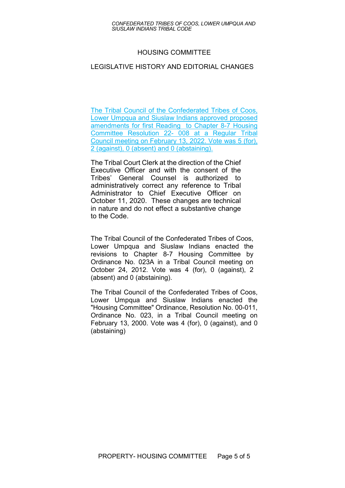#### HOUSING COMMITTEE

#### LEGISLATIVE HISTORY AND EDITORIAL CHANGES

The Tribal Council of the Confederated Tribes of Coos, Lower Umpqua and Siuslaw Indians approved proposed amendments for first Reading to Chapter 8-7 Housing Committee Resolution 22- 008 at a Regular Tribal Council meeting on February 13, 2022. Vote was 5 (for), 2 (against), 0 (absent) and 0 (abstaining).

The Tribal Court Clerk at the direction of the Chief Executive Officer and with the consent of the Tribes' General Counsel is authorized to administratively correct any reference to Tribal Administrator to Chief Executive Officer on October 11, 2020. These changes are technical in nature and do not effect a substantive change to the Code.

The Tribal Council of the Confederated Tribes of Coos, Lower Umpqua and Siuslaw Indians enacted the revisions to Chapter 8-7 Housing Committee by Ordinance No. 023A in a Tribal Council meeting on October 24, 2012. Vote was 4 (for), 0 (against), 2 (absent) and 0 (abstaining).

The Tribal Council of the Confederated Tribes of Coos, Lower Umpqua and Siuslaw Indians enacted the "Housing Committee" Ordinance, Resolution No. 00-011, Ordinance No. 023, in a Tribal Council meeting on February 13, 2000. Vote was 4 (for), 0 (against), and 0 (abstaining)